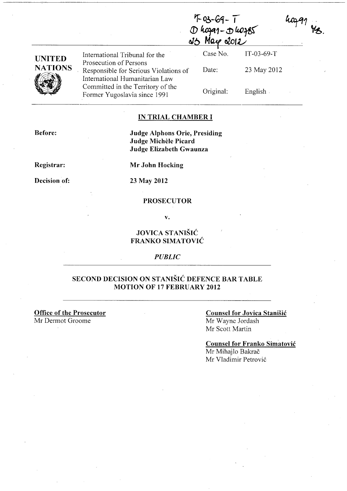|                |                                                                                                   | 'I-03-69-<br>D hogar-D hoges |              |  |
|----------------|---------------------------------------------------------------------------------------------------|------------------------------|--------------|--|
| <b>UNITED</b>  | International Tribunal for the                                                                    | Case No.                     | $IT-03-69-T$ |  |
| <b>NATIONS</b> | Prosecution of Persons<br>Responsible for Serious Violations of<br>International Humanitarian Law | Date:                        | 23 May 2012  |  |
|                | Committed in the Territory of the<br>Former Yugoslavia since 1991                                 | Original:                    | English.     |  |

 $K \sim \Lambda$ 

#### IN TRIAL CHAMBER I

Judge Alphons Orie, Presiding Judge Michèle Picard Judge Elizabeth Gwaunza

Registrar:

Decision of:

Before:

23 May 2012

Mr John Hocking

#### PROSECUTOR

v.

#### JOVICA STANIŠIĆ FRANKO SIMATOVIĆ

#### *PUBLIC*

#### SECOND DECISION ON STANIŠIĆ DEFENCE BAR TABLE MOTION OF 17 FEBRUARY 2012

Office of the Prosecutor

Mr Dermot Groome

# Counsel for Jovica Stanišić

Mr Wayne Jordash Mr Scott Martin

Counsel for Franko Simatović

Mr Mihajlo Bakrač Mr Vladimir Petrović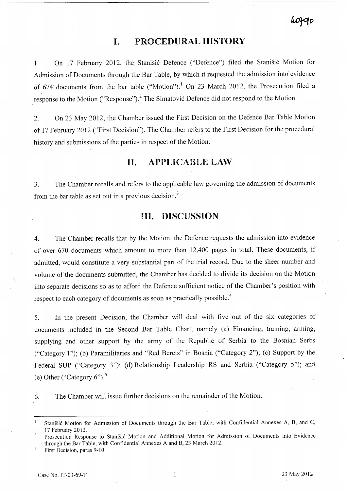# **I. PROCEDURAL HISTORY**

1. On 17 February 2012, the Stanišić Defence ("Defence") filed the Stanišić Motion for Admission of Documents through the Bar Table, by which it requested the admission into evidence of 674 documents from the bar table ("Motion").<sup>1</sup> On 23 March 2012, the Prosecution filed a response to the Motion ("Response").<sup>2</sup> The Simatović Defence did not respond to the Motion.

2. On 23 May 2012, the Chamber issued the First Decision on the Defence Bar Table Motion of 17 February 2012 ("First Decision"). The Chamber refers to the First Decision for the procedural history and submissions of the parties in respect of the Motion.

# **II. APPLICABLE LAW**

3. The Chamber recalls and refers to the applicable law governing the admission of documents from the bar table as set out in a previous decision.<sup>3</sup>

# **III. DISCUSSION**

4. The Chamber recalls that by the Motion, the Defence requests the admission into evidence of over 670 documents which amount to more than 12,400 pages in total. These documents, if admitted, would constitute a very substantial part of the trial record. Due to the sheer number and volume of the documents submitted, the Chamber has decided to divide its decision on the Motion into separate decisions so as to afford the Defence sufficient notice of the Chamber's position with respect to each category of documents as soon as practically possible.<sup>4</sup>

5. In the present Decision, the Chamber will deal with five out of the six categories of documents included in the Second Bar Table Chart, namely (a) Financing, training, arming, supplying and other support by the army of the Republic of Serbia to the Bosnian Serbs ("Category 1"); (b) Paramilitaries and "Red Berets" in Bosnia ("Category 2"); (c) Support by the Federal SUP ("Category 3"); (d) Relationship Leadership RS and Serbia ("Category 5"); and (e) Other ("Category  $6$ ").<sup>5</sup>

6. The Chamber will issue further decisions on the remainder of the Motion.

First Decision, paras 9-10.

Stanišić Motion for Admission of Documents through the Bar Table, with Confidential Annexes A, B, and C, 17 February 2012.

Prosecution Response to Stanišić Motion and Additional Motion for Admission of Documents into Evidence through the Bar Table, with Confidential Annexes A and B, 23 March 2012.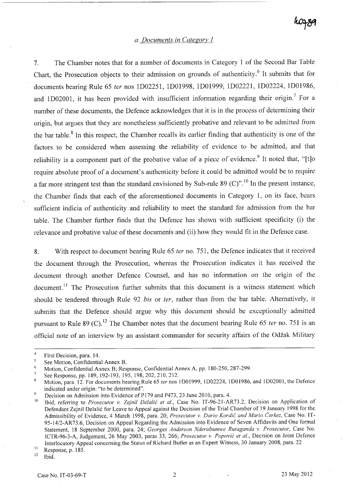#### *a. Documents in Category l*

7. The Chamber notes that for a number of documents in Category 1 of the Second Bar Table Chart, the Prosecution objects to their admission on grounds of authenticity.<sup>6</sup> It submits that for documents bearing Rule 65 *ter* nos 1D02251, 1D01998, 1D01999, lD02221, lD02224, 1D01986, and 1D02001, it has been provided with insufficient information regarding their origin.<sup>7</sup> For a number of these documents, the Defence acknowledges that it is in the process of determining their origin, but argues that they are nonetheless sufficiently probative and relevant to be admitted from the bar table. 8 In this respect, the Chamber recalls its earlier finding that authenticity is one of the factors to be considered when assessing the reliability of evidence to be admitted, and that reliability is a component part of the probative value of a piece of evidence.<sup>9</sup> It noted that, "[t]o require absolute proof of a document's authenticity before it could be admitted would be to require a far more stringent test than the standard envisioned by Sub-rule 89 (C)".<sup>10</sup> In the present instance, the Chamber finds that each of the aforementioned documents in Category 1, on its face, bears sufficient indicia of authenticity and reliability to meet the standard for admission from the bar table. The Chamber further finds that the Defence has shown with sufficient specificity (i) the relevance and probative value of these documents and (ii) how they would fit in the Defence case.

8. With respect to document bearing Rule 65 *ter* no. 751, the Defence indicates that it received the document through the Prosecution, whereas the Prosecution indicates it has received the document through another Defence Counsel, and has no information on the origin of the document.<sup>11</sup> The Prosecution further submits that this document is a witness statement which should be tendered through Rule 92 *bis* or *ter,* rather than from the bar table. Alternatively, it submits that the Defence should argue why this document should be exceptionally admitted pursuant to Rule 89 (C). 12 The Chamber notes that the document bearing Rule 65 *ter* no. 751 is an official note of an interview by an assistant commander for security affairs of the Odžak Military

First Decision, para. 14.

<sup>5</sup> See Motion, Confidential Annex B.  $\ddot{6}$ 

Motion, Confidential Annex B; Response, Confidential Annex A, pp. 180-250,287-299.

 $\overline{7}$ See Response, pp. 189, 192-193, 195, 198, 202, 210, 212.

Motion, para. 12. For documents bearing Rule 65 *ter* nos 1001999, 1002224, 1001986, and 100200 l, the Defence  $\overline{\mathbf{8}}$ indicated under origin: "to be determined".

 $\ddot{9}$ Decision on Admission into Evidence of P179 and P473, 23 June 2010, para. 4.

<sup>&</sup>lt;sup>10</sup> Ibid, referring to *Prosecutor v. Zejnil Delalić et al.*, Case No. IT-96-21-AR73.2, Decision on Application of Defendant Zejnil Delalić for Leave to Appeal against the Decision of the Trial Chamber of 19 January 1998 for the Admissibility of Evidence, 4 March 1998, para. 20; *Prosecutor* v. *Dario* Kordić *and Mario* Čerkez, Case No. IT-95-14/2-AR 73.6, Decision on Appeal Regarding the Admission into Evidence of Seven Affidavits and One formal Statement, 18 September 2000, para. 24; *Georges Anderson Nderubumwe Rutaganda v. Prosecutor*, Case No. ICTR-96-3-A, Judgement, 26 May 2003, paras 33, 266; *Prosecutor* v. Popović *et al.,* Decision on Joint Defence Interlocutory Appeal concerning the Status of Richard Butler as an Expert Witness, 30 January 2008, para. 22

 $\frac{11}{12}$  Response, p. 185.

Ibid.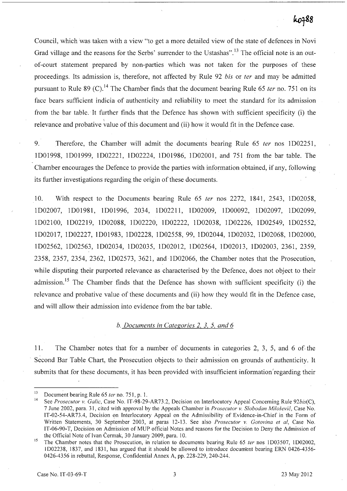Council, which was taken with a view "to get a more detailed view of the state of defences in Novi Grad village and the reasons for the Serbs' surrender to the Ustashas".<sup>13</sup> The official note is an outof-court statement prepared by non-parties which was not taken for the purposes of these proceedings. Its admission is, therefore, not affected by Rule 92 *bis* or *ter* and may be admitted pursuant to Rule 89 (C).<sup>14</sup> The Chamber finds that the document bearing Rule 65 *ter* no. 751 on its face bears sufficient indicia of authenticity and reliability to meet the standard for its admission from the bar table. It further finds that the Defence has shown with sufficient specificity (i) the relevance and probative value of this document and (ii) how it would fit in the Defence case.

9. Therefore, the Chamber will admit the documents bearing Rule 65 *ter* nos 1D02251, 1D01998, 1D01999, 1D02221, 1D02224, 1D01986, 1D02001, and 751 from the bar table. The Chamber encourages the Defence to provide the parties with information obtained, if any, following its further investigations regarding the origin of these documents.

10. With respect to the Documents bearing Rule 65 *ter* nos 2272, 1841, 2543, 1D02058, 1D02007, 1D01981, 1D01996, 2034, 1D02211, 1D02009, 1D00092, 1D02097, 1D02099, 1D02100, 1D02219, 1D02088, 1D02220, 1D02222, 1D02038, 1D02226, 1D02549, 1D02552, 1D02017, 1D02227, 1D01983, 1D02228, 1D02558, 99, 1D02044, 1D02032, 1D02068, 1D02000, 1D02562, 1D02563, 1D02034, 1D02035, 1D02012, 1D02564, 1D02013, 1D02003, 2361, 2359, 2358, 2357, 2354, 2362, 1D02573, 3621, and 1D02066, the Chamber notes that the Prosecution, while disputing their purported relevance as characterised by the Defence, does not object to their admission.<sup>15</sup> The Chamber finds that the Defence has shown with sufficient specificity (i) the relevance and probative value of these documents and (ii) how they would fit in the Defence case, and will allow their admission into evidence from the bar table.

#### *b. Documents in Categories* 2, 3, 5, *and 6*

11. The Chamber notes that for a number of documents in categories 2, 3, 5, and 6 of. the Second Bar Table Chart, the Prosecution objects to their admission on grounds of authenticity. It submits that for these documents, it has been provided with insufficient information regarding their

<sup>13</sup> Document bearing Rule 65 *ter* no. 751, p. l.

<sup>14</sup> See *Prosecutor* v. *Galic,* Case No. IT-98-29-AR73.2, Decision on Interlocutory Appeal Concerning Rule *92bis(C),*  7 June 2002, para. 31, cited with approval by the Appeals Chamber in *Prosecutor* v. *Slobodan* Milošević, Case No. IT-02-54-AR73.4, Decision on Interlocutory Appeal on the Admissibility of Evidence-in-Chief in the Form of Written Statements, 30 September 2003, at paras 12-13. See also *Prosecutor* v. *Gotovina et al,* Case No. IT -06-90-T, Decision on Admission of MUP official Notes and reasons for the Decision to Deny the Admission of the Official Note of Ivan Čermak, 30 January 2009, para. 10.

<sup>&</sup>lt;sup>15</sup> The Chamber notes that the Prosecution, in relation to documents bearing Rule 65 *ter* nos 1D03507, 1D02002, I D02238, 1837, and 1831, has argued that it should be allowed to introduce docum'ent bearing ERN 0426-4356- 0426-4356 in rebuttal, Response, Confidential Annex A, pp. 228-229, 240-244.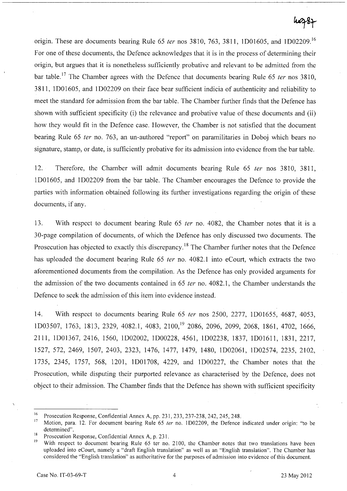# wzzz

origin. These are documents bearing Rule 65 *ter* nos 3810, 763, 3811, 1D01605, and 1D02209. <sup>16</sup> For one of these documents, the Defence acknowledges that it is in the process of determining their origin, but argues that it is nonetheless sufficiently probative and relevant to be admitted from the bar table.17 The Chamber agrees with the Defence that documents bearing Rule 65 *ter* nos 3810, 3811, 1D01605, and 1D02209 on their face bear sufficient indicia of authenticity and reliability to meet the standard for admission from the bar table. The Chamber further finds that the Defence has shown with sufficient specificity (i) the relevance and probative value of these documents and (ii) how they would fit in the Defence case. However, the Chamber is not satisfied that the document bearing Rule 65 *ter* no. 763, an un-authored "report" on paramilitaries in Doboj which bears no signature, stamp, or date, is sufficiently probative for its admission into evidence from the bar table.

12. Therefore, the Chamber will admit documents bearing Rule 65 *ter* nos 3810, 3811, 1D01605, and 1D02209 from the bar table. The Chamber encourages the Defence to provide the parties with information obtained following its further investigations regarding the origin of these documents, if any.

13. With respect to document bearing Rule 65 *ter* no. 4082, the Chamber notes that it is a 30-page compilation of documents, of which the Defence has only discussed two documents. The Prosecution has objected to exactly this discrepancy.<sup>18</sup> The Chamber further notes that the Defence has uploaded the document bearing Rule 65 *ter* no. 4082.1 into eCourt, which extracts the two aforementioned documents from the compilation. As the Defence has only provided arguments for the admission of the two documents contained in 65 *ter* no. 4082.1, the Chamber understands the Defence to seek the admission of this item into evidence instead.

14. With respect to documents bearing Rule 65 *ter* nos 2500, 2277, 1D01655, 4687, 4053, 1D03507, 1763, 1813,2329,4082.1,4083,2100,19 2086, 2096, 2099, 2068, 1861,4702, 1666, 2111, 1D01367, 2416, 1560, 1D02002, 1D00228, 4561, 1D02238, 1837, 1D01611, 1831, 2217, 1527, 572, 2469, 1507, 2403, 2323, 1476, 1477, 1479, 1480, 1D02061, 1D02574, 2235, 2102, 1735, 2345, 1757, 568, 1201, 1D01708, 4229, and 1D00227, the Chamber notes that the Prosecution, while disputing their purported relevance as characterised by the Defence, does not object to their admission. The Chamber finds that the Defence has shown with sufficient specificity

<sup>&</sup>lt;sup>16</sup> Prosecution Response, Confidential Annex A, pp. 231, 233, 237-238, 242, 245, 248.<br><sup>17</sup> Motion, para 12, For document begring Bulg 65 top no. 1D02200, the Defense.

<sup>17</sup>Motion, para. 12. For document bearing Rule 65 *ter* no. 1D02209, the Defence indicated under origin: "to be determined".

<sup>&</sup>lt;sup>18</sup> Prosecution Response, Confidential Annex A, p. 231.

With respect to document bearing Rule 65 ter no. 2100, the Chamber notes that two translations have been up10aded into eCourt, namely a "draft English translation" as well as an "English translation". The Chamber has considered the "English translation" as authoritative for the purposes of admission into evidence of this document.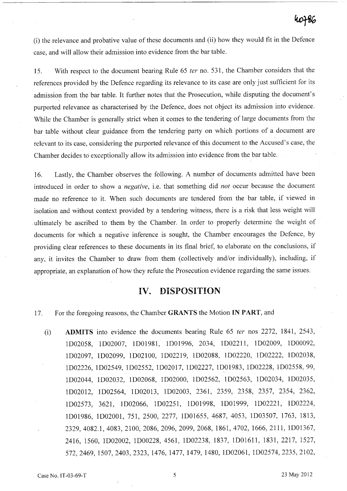(i) the relevance and probative value of these documents and (ii) how they would fit in the Defence case, and will allow their admission into evidence from the bar table.

15. With respect to the document bearing Rule 65 *ter* no. 531, the Chamber considers that the references provided by the Defence regarding its relevance to its case are only just sufficient for its admission from the bar table. It further notes that the Prosecution, while disputing the document's purported relevance as characterised by the Defence, does not object its admission into evidence. While the Chamber is generally strict when it comes to the tendering of large documents from the bar table without clear guidance from the tendering party on which portions of a document are relevant to its case, considering the purported relevance of this document to the Accused's case, the Chamber decides to exceptionally allow its admission into evidence from the bar table.

16. Lastly, the Chamber observes the following. A number of documents admitted have been introduced in order to show a *negative,* i.e. that something did *not* occur because the document made no reference to it. When such documents are tendered from the bar table, if viewed in isolation and without context provided by a tendering witness, there is a risk that less weight will ultimately be ascribed to them by the Chamber. In order to properly determine the weight of documents for which a negative inference is sought, the Chamber encourages the Defence, by providing clear references to these documents in its final brief, to elaborate on the conclusions, if any, it invites the Chamber to draw from them (collectively and/or individually), including, if appropriate, an explanation of how they refute the Prosecution evidence regarding the same issues.

# **IV. DISPOSITION**

17. For the foregoing reasons, the Chamber GRANTS the Motion IN PART, and

(i) **ADMITS** into evidence the documents bearing Rule 65 *ter* nos 2272, 1841, 2543, 1D02058, 1D02007, 1D01981, 1D01996, 2034, 1D02211, 1D02009, 1D00092, 1D02097, 1D02099, 1D02100, 1D02219, 1D02088, 1D02220, 1D02222, ID02038, 1D02226, 1D02549, 1D02552, 1D02017, 1D02227, 1D01983, 1D02228, ID02558, 99, 1D02044, 1D02032, 1D02068, 1D02000, 1D02562, 1D02563, 1D02034, 1D02035, 1D02012, 1D02564, 1D02013, 1D02003, 2361, 2359, 2358, 2357, 2354, 2362, 1D02573, 3621, 1D02066, 1D02251, lD01998; 1D01999, 1D02221, lD02224, 1D01986, 1D02001, 751, 2500, 2277, 1D01655, 4687, 4053, lD03507, 1763, 1813, 2329,4082.1,4083,2100,2086,2096,2099,2068,1861, 4702,1666,2111, 1D01367, 2416, 1560, 1D02002, 1D00228, 4561, 1D02238, 1837, 1D01611, 1831,2217, 1527, 572,2469, 1507,2403,2323, 1476, 1477, 1479, 1480, 1D02061, 1D02574, 2235, 2102,